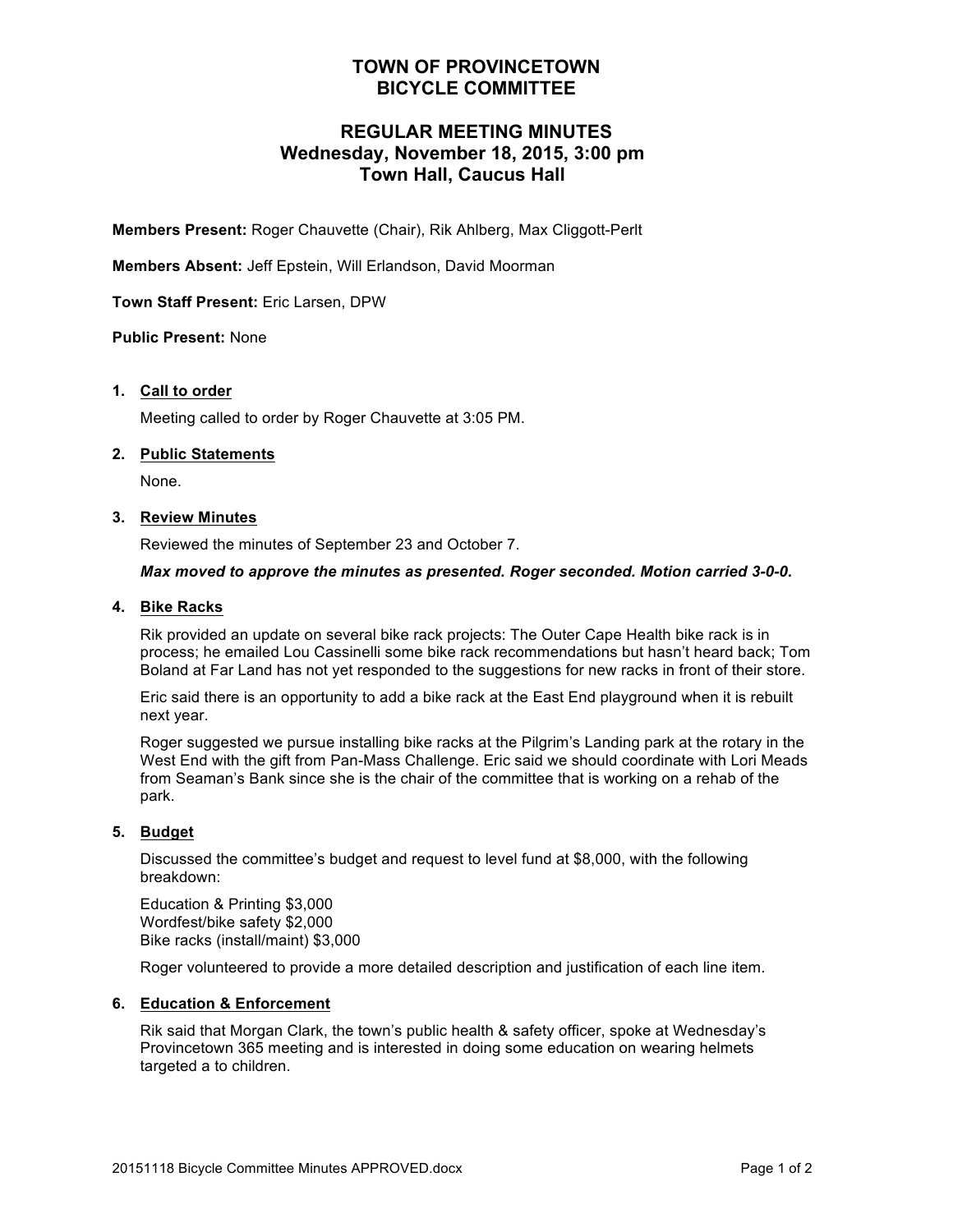## **TOWN OF PROVINCETOWN BICYCLE COMMITTEE**

## **REGULAR MEETING MINUTES Wednesday, November 18, 2015, 3:00 pm Town Hall, Caucus Hall**

**Members Present:** Roger Chauvette (Chair), Rik Ahlberg, Max Cliggott-Perlt

**Members Absent:** Jeff Epstein, Will Erlandson, David Moorman

**Town Staff Present:** Eric Larsen, DPW

#### **Public Present:** None

#### **1. Call to order**

Meeting called to order by Roger Chauvette at 3:05 PM.

#### **2. Public Statements**

None.

#### **3. Review Minutes**

Reviewed the minutes of September 23 and October 7.

#### *Max moved to approve the minutes as presented. Roger seconded. Motion carried 3-0-0.*

#### **4. Bike Racks**

Rik provided an update on several bike rack projects: The Outer Cape Health bike rack is in process; he emailed Lou Cassinelli some bike rack recommendations but hasn't heard back; Tom Boland at Far Land has not yet responded to the suggestions for new racks in front of their store.

Eric said there is an opportunity to add a bike rack at the East End playground when it is rebuilt next year.

Roger suggested we pursue installing bike racks at the Pilgrim's Landing park at the rotary in the West End with the gift from Pan-Mass Challenge. Eric said we should coordinate with Lori Meads from Seaman's Bank since she is the chair of the committee that is working on a rehab of the park.

#### **5. Budget**

Discussed the committee's budget and request to level fund at \$8,000, with the following breakdown:

Education & Printing \$3,000 Wordfest/bike safety \$2,000 Bike racks (install/maint) \$3,000

Roger volunteered to provide a more detailed description and justification of each line item.

#### **6. Education & Enforcement**

Rik said that Morgan Clark, the town's public health & safety officer, spoke at Wednesday's Provincetown 365 meeting and is interested in doing some education on wearing helmets targeted a to children.